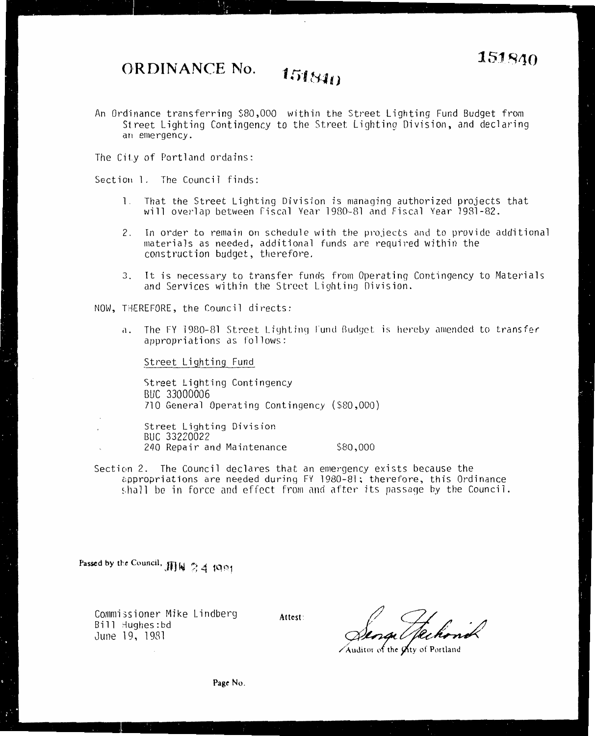## **151840** ORDINANCE No. **151840**

An Ordinance transferring \$80,000 within the Street Lighting Fund Budget from Street Lighting Contingency to the Street Lighting Division, and declaring an emergency.

The City of Portland ordains:

Section l. The Council finds:

- 1. That the Street Lighting Division is managing authorized projects that will overlap between fiscal Year 1980-81 and Fiscal Year 1981-82.
- 2. In order to remain on schedule with the projects and to provide additional materials as needed, additional funds are required within the construction budget, therefore.
- 3. It is necessary to transfer funds from Operating Contingency to Materials and Services within the Street Lighting Division.

NOW, THEREFORE, the Council directs:

a. The FY 1980-81 Street Lighting fund Budget is hereby amended to transfer appropriations as follows:

Street Lighting Fund

5treet Lighting Contingency BUC 33000006 710 General Operating Contingency (\$80,000)

Street Lighting Division BUC 33220022 240 Repair and Maintenance \$80,000

Section 2. The Council declares that an emergency exists because the appropriations are needed during FY 1980-81; therefore, this Ordinance shall be in force and effect from and after its passage by the Council.

Passed by the Council, JJJf  $\frac{6}{2}$  4 1981

Commissioner Mike Lindberg Bill Hughes:bd June 19, 1981

Attest: Sense Hechond

*/Auditor of the gity of Portland*